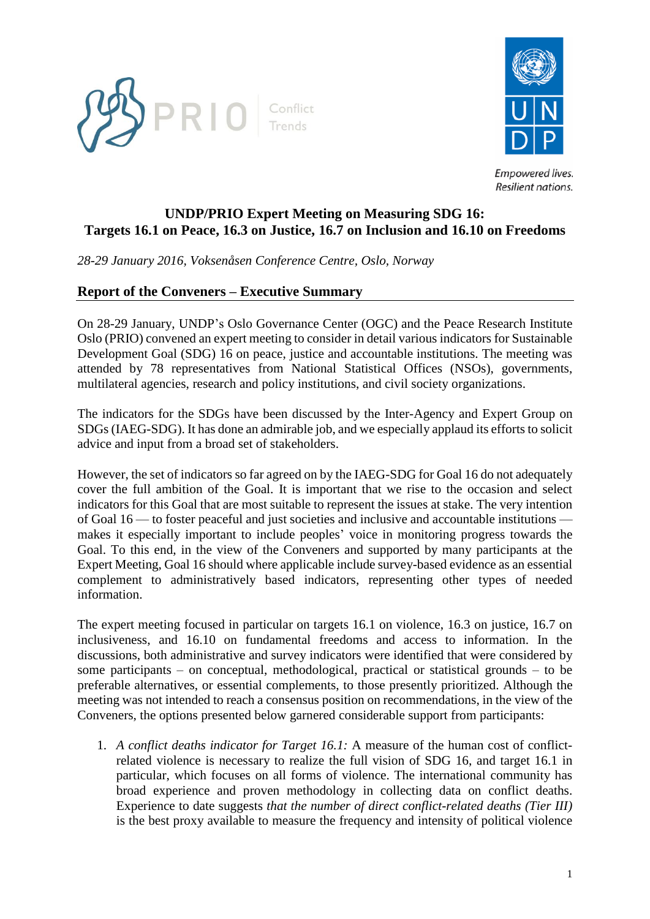



# **UNDP/PRIO Expert Meeting on Measuring SDG 16: Targets 16.1 on Peace, 16.3 on Justice, 16.7 on Inclusion and 16.10 on Freedoms**

*28-29 January 2016, Voksenåsen Conference Centre, Oslo, Norway*

### **Report of the Conveners – Executive Summary**

On 28-29 January, UNDP's Oslo Governance Center (OGC) and the Peace Research Institute Oslo (PRIO) convened an expert meeting to consider in detail various indicators for Sustainable Development Goal (SDG) 16 on peace, justice and accountable institutions. The meeting was attended by 78 representatives from National Statistical Offices (NSOs), governments, multilateral agencies, research and policy institutions, and civil society organizations.

The indicators for the SDGs have been discussed by the Inter-Agency and Expert Group on SDGs (IAEG-SDG). It has done an admirable job, and we especially applaud its efforts to solicit advice and input from a broad set of stakeholders.

However, the set of indicators so far agreed on by the IAEG-SDG for Goal 16 do not adequately cover the full ambition of the Goal. It is important that we rise to the occasion and select indicators for this Goal that are most suitable to represent the issues at stake. The very intention of Goal 16 — to foster peaceful and just societies and inclusive and accountable institutions makes it especially important to include peoples' voice in monitoring progress towards the Goal. To this end, in the view of the Conveners and supported by many participants at the Expert Meeting, Goal 16 should where applicable include survey-based evidence as an essential complement to administratively based indicators, representing other types of needed information.

The expert meeting focused in particular on targets 16.1 on violence, 16.3 on justice, 16.7 on inclusiveness, and 16.10 on fundamental freedoms and access to information. In the discussions, both administrative and survey indicators were identified that were considered by some participants  $-$  on conceptual, methodological, practical or statistical grounds  $-$  to be preferable alternatives, or essential complements, to those presently prioritized. Although the meeting was not intended to reach a consensus position on recommendations, in the view of the Conveners, the options presented below garnered considerable support from participants:

1. *A conflict deaths indicator for Target 16.1:* A measure of the human cost of conflictrelated violence is necessary to realize the full vision of SDG 16, and target 16.1 in particular, which focuses on all forms of violence. The international community has broad experience and proven methodology in collecting data on conflict deaths. Experience to date suggests *that the number of direct conflict-related deaths (Tier III)* is the best proxy available to measure the frequency and intensity of political violence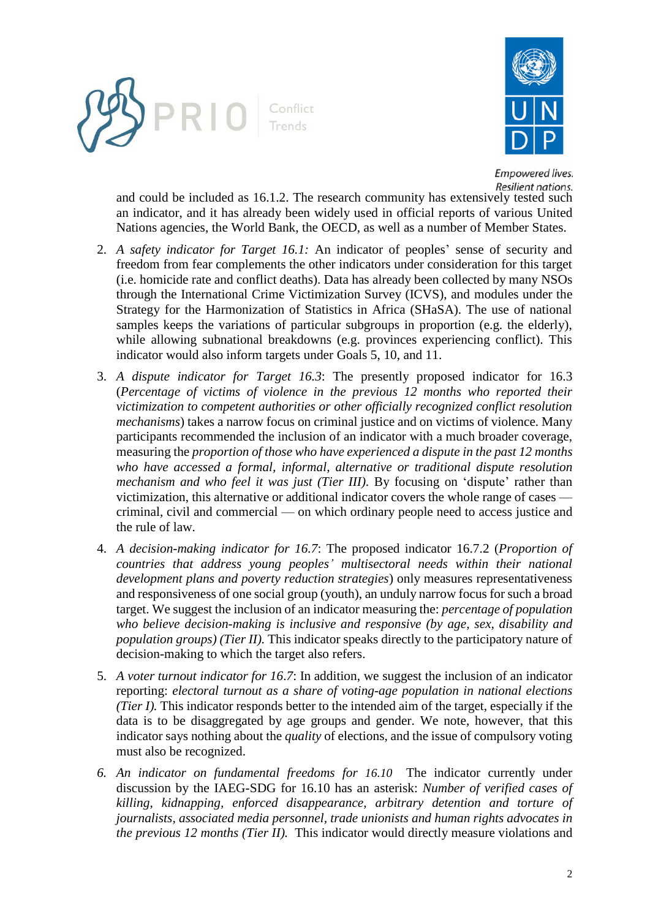



and could be included as 16.1.2. The research community has extensively tested such an indicator, and it has already been widely used in official reports of various United Nations agencies, the World Bank, the OECD, as well as a number of Member States.

- 2. *A safety indicator for Target 16.1:* An indicator of peoples' sense of security and freedom from fear complements the other indicators under consideration for this target (i.e. homicide rate and conflict deaths). Data has already been collected by many NSOs through the International Crime Victimization Survey (ICVS), and modules under the Strategy for the Harmonization of Statistics in Africa (SHaSA). The use of national samples keeps the variations of particular subgroups in proportion (e.g. the elderly), while allowing subnational breakdowns (e.g. provinces experiencing conflict). This indicator would also inform targets under Goals 5, 10, and 11.
- 3. *A dispute indicator for Target 16.3*: The presently proposed indicator for 16.3 (*Percentage of victims of violence in the previous 12 months who reported their victimization to competent authorities or other officially recognized conflict resolution mechanisms*) takes a narrow focus on criminal justice and on victims of violence. Many participants recommended the inclusion of an indicator with a much broader coverage, measuring the *proportion of those who have experienced a dispute in the past 12 months who have accessed a formal, informal, alternative or traditional dispute resolution mechanism and who feel it was just (Tier III).* By focusing on 'dispute' rather than victimization, this alternative or additional indicator covers the whole range of cases criminal, civil and commercial — on which ordinary people need to access justice and the rule of law.
- 4. *A decision-making indicator for 16.7*: The proposed indicator 16.7.2 (*Proportion of countries that address young peoples' multisectoral needs within their national development plans and poverty reduction strategies*) only measures representativeness and responsiveness of one social group (youth), an unduly narrow focus for such a broad target. We suggest the inclusion of an indicator measuring the: *percentage of population who believe decision-making is inclusive and responsive (by age, sex, disability and population groups) (Tier II).* This indicator speaks directly to the participatory nature of decision-making to which the target also refers.
- 5. *A voter turnout indicator for 16*.*7*: In addition, we suggest the inclusion of an indicator reporting: *electoral turnout as a share of voting-age population in national elections (Tier I).* This indicator responds better to the intended aim of the target, especially if the data is to be disaggregated by age groups and gender. We note, however, that this indicator says nothing about the *quality* of elections, and the issue of compulsory voting must also be recognized.
- *6. An indicator on fundamental freedoms for 16.10* The indicator currently under discussion by the IAEG-SDG for 16.10 has an asterisk: *Number of verified cases of killing, kidnapping, enforced disappearance, arbitrary detention and torture of journalists, associated media personnel, trade unionists and human rights advocates in the previous 12 months (Tier II).* This indicator would directly measure violations and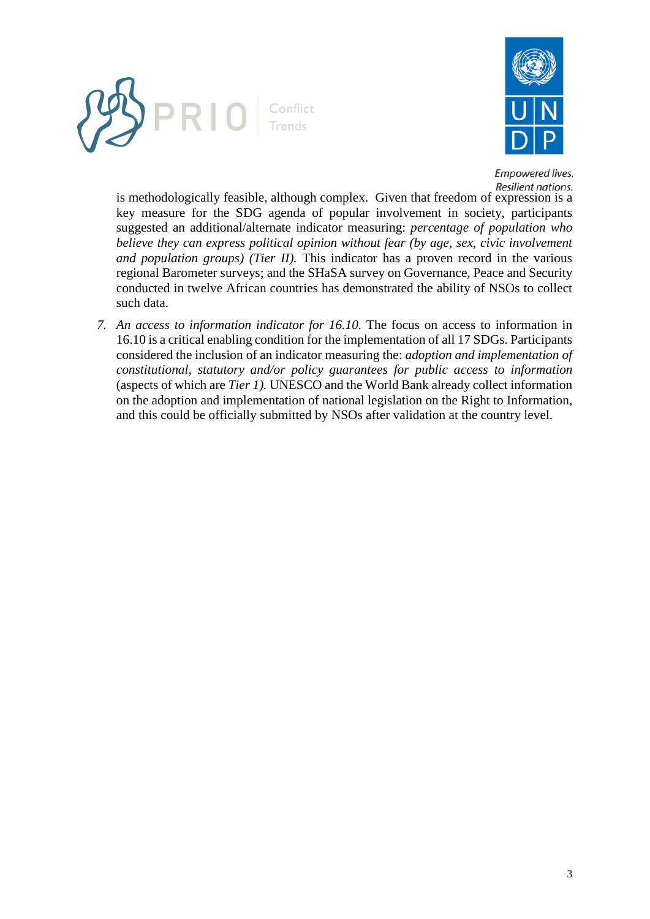



is methodologically feasible, although complex. Given that freedom of expression is a key measure for the SDG agenda of popular involvement in society, participants suggested an additional/alternate indicator measuring: *percentage of population who believe they can express political opinion without fear (by age, sex, civic involvement and population groups) (Tier II).* This indicator has a proven record in the various regional Barometer surveys; and the SHaSA survey on Governance, Peace and Security conducted in twelve African countries has demonstrated the ability of NSOs to collect such data.

*7. An access to information indicator for 16.10.* The focus on access to information in 16.10 is a critical enabling condition for the implementation of all 17 SDGs. Participants considered the inclusion of an indicator measuring the: *adoption and implementation of constitutional, statutory and/or policy guarantees for public access to information* (aspects of which are *Tier 1).* UNESCO and the World Bank already collect information on the adoption and implementation of national legislation on the Right to Information, and this could be officially submitted by NSOs after validation at the country level.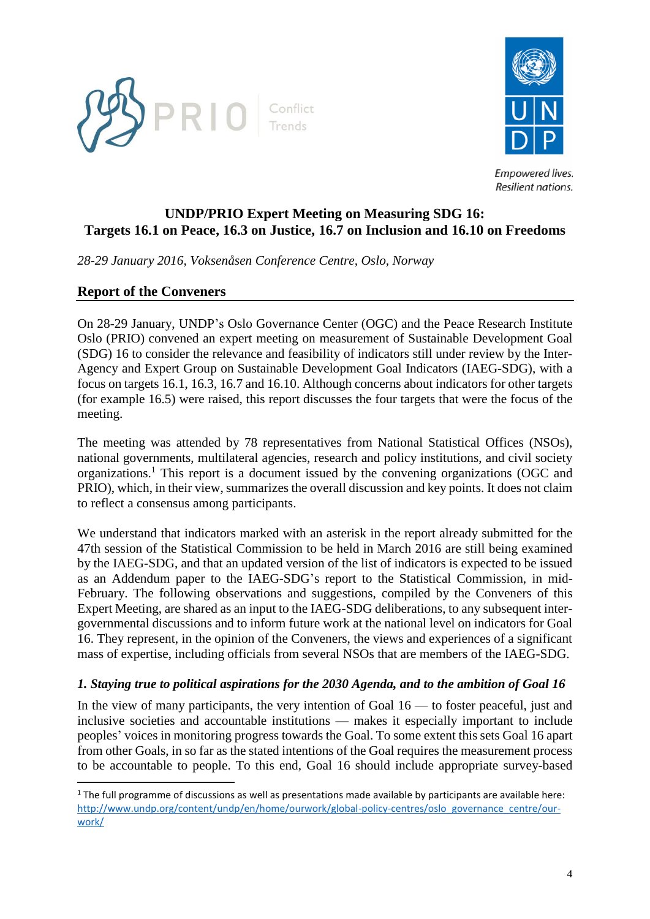



# **UNDP/PRIO Expert Meeting on Measuring SDG 16: Targets 16.1 on Peace, 16.3 on Justice, 16.7 on Inclusion and 16.10 on Freedoms**

*28-29 January 2016, Voksenåsen Conference Centre, Oslo, Norway*

## **Report of the Conveners**

 $\overline{\phantom{a}}$ 

On 28-29 January, UNDP's Oslo Governance Center (OGC) and the Peace Research Institute Oslo (PRIO) convened an expert meeting on measurement of Sustainable Development Goal (SDG) 16 to consider the relevance and feasibility of indicators still under review by the Inter-Agency and Expert Group on Sustainable Development Goal Indicators (IAEG-SDG), with a focus on targets 16.1, 16.3, 16.7 and 16.10. Although concerns about indicators for other targets (for example 16.5) were raised, this report discusses the four targets that were the focus of the meeting.

The meeting was attended by 78 representatives from National Statistical Offices (NSOs), national governments, multilateral agencies, research and policy institutions, and civil society organizations.<sup>1</sup> This report is a document issued by the convening organizations (OGC and PRIO), which, in their view, summarizes the overall discussion and key points. It does not claim to reflect a consensus among participants.

We understand that indicators marked with an asterisk in the report already submitted for the 47th session of the Statistical Commission to be held in March 2016 are still being examined by the IAEG-SDG, and that an updated version of the list of indicators is expected to be issued as an Addendum paper to the IAEG-SDG's report to the Statistical Commission, in mid-February. The following observations and suggestions, compiled by the Conveners of this Expert Meeting, are shared as an input to the IAEG-SDG deliberations, to any subsequent intergovernmental discussions and to inform future work at the national level on indicators for Goal 16. They represent, in the opinion of the Conveners, the views and experiences of a significant mass of expertise, including officials from several NSOs that are members of the IAEG-SDG.

### *1. Staying true to political aspirations for the 2030 Agenda, and to the ambition of Goal 16*

In the view of many participants, the very intention of Goal  $16$  — to foster peaceful, just and inclusive societies and accountable institutions — makes it especially important to include peoples' voices in monitoring progress towards the Goal. To some extent this sets Goal 16 apart from other Goals, in so far as the stated intentions of the Goal requires the measurement process to be accountable to people. To this end, Goal 16 should include appropriate survey-based

 $1$  The full programme of discussions as well as presentations made available by participants are available here: [http://www.undp.org/content/undp/en/home/ourwork/global-policy-centres/oslo\\_governance\\_centre/our](http://www.undp.org/content/undp/en/home/ourwork/global-policy-centres/oslo_governance_centre/our-work/)[work/](http://www.undp.org/content/undp/en/home/ourwork/global-policy-centres/oslo_governance_centre/our-work/)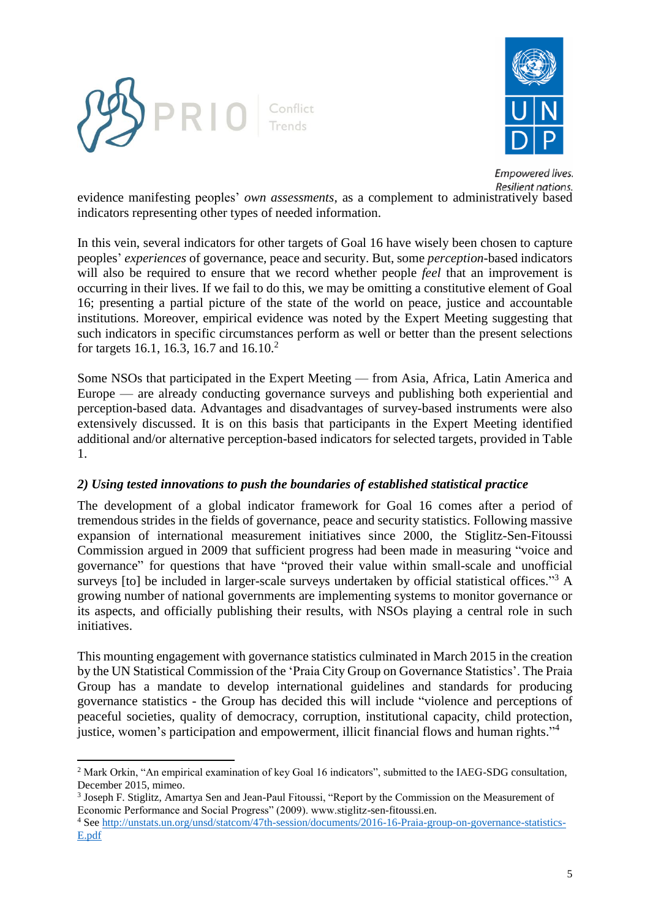

 $\overline{a}$ 



**Empowered lives.** Resilient nations.

evidence manifesting peoples' *own assessments*, as a complement to administratively based indicators representing other types of needed information.

In this vein, several indicators for other targets of Goal 16 have wisely been chosen to capture peoples' *experiences* of governance, peace and security. But, some *perception*-based indicators will also be required to ensure that we record whether people *feel* that an improvement is occurring in their lives. If we fail to do this, we may be omitting a constitutive element of Goal 16; presenting a partial picture of the state of the world on peace, justice and accountable institutions. Moreover, empirical evidence was noted by the Expert Meeting suggesting that such indicators in specific circumstances perform as well or better than the present selections for targets 16.1, 16.3, 16.7 and 16.10.<sup>2</sup>

Some NSOs that participated in the Expert Meeting — from Asia, Africa, Latin America and Europe — are already conducting governance surveys and publishing both experiential and perception-based data. Advantages and disadvantages of survey-based instruments were also extensively discussed. It is on this basis that participants in the Expert Meeting identified additional and/or alternative perception-based indicators for selected targets, provided in Table 1.

### *2) Using tested innovations to push the boundaries of established statistical practice*

The development of a global indicator framework for Goal 16 comes after a period of tremendous strides in the fields of governance, peace and security statistics. Following massive expansion of international measurement initiatives since 2000, the Stiglitz-Sen-Fitoussi Commission argued in 2009 that sufficient progress had been made in measuring "voice and governance" for questions that have "proved their value within small-scale and unofficial surveys [to] be included in larger-scale surveys undertaken by official statistical offices."<sup>3</sup> A growing number of national governments are implementing systems to monitor governance or its aspects, and officially publishing their results, with NSOs playing a central role in such initiatives.

This mounting engagement with governance statistics culminated in March 2015 in the creation by the UN Statistical Commission of the 'Praia City Group on Governance Statistics'. The Praia Group has a mandate to develop international guidelines and standards for producing governance statistics - the Group has decided this will include "violence and perceptions of peaceful societies, quality of democracy, corruption, institutional capacity, child protection, justice, women's participation and empowerment, illicit financial flows and human rights."<sup>4</sup>

<sup>&</sup>lt;sup>2</sup> Mark Orkin, "An empirical examination of key Goal 16 indicators", submitted to the IAEG-SDG consultation, December 2015, mimeo.

<sup>3</sup> Joseph F. Stiglitz, Amartya Sen and Jean-Paul Fitoussi, "Report by the Commission on the Measurement of Economic Performance and Social Progress" (2009). www.stiglitz-sen-fitoussi.en.

<sup>4</sup> Se[e http://unstats.un.org/unsd/statcom/47th-session/documents/2016-16-Praia-group-on-governance-statistics-](http://unstats.un.org/unsd/statcom/47th-session/documents/2016-16-Praia-group-on-governance-statistics-E.pdf)[E.pdf](http://unstats.un.org/unsd/statcom/47th-session/documents/2016-16-Praia-group-on-governance-statistics-E.pdf)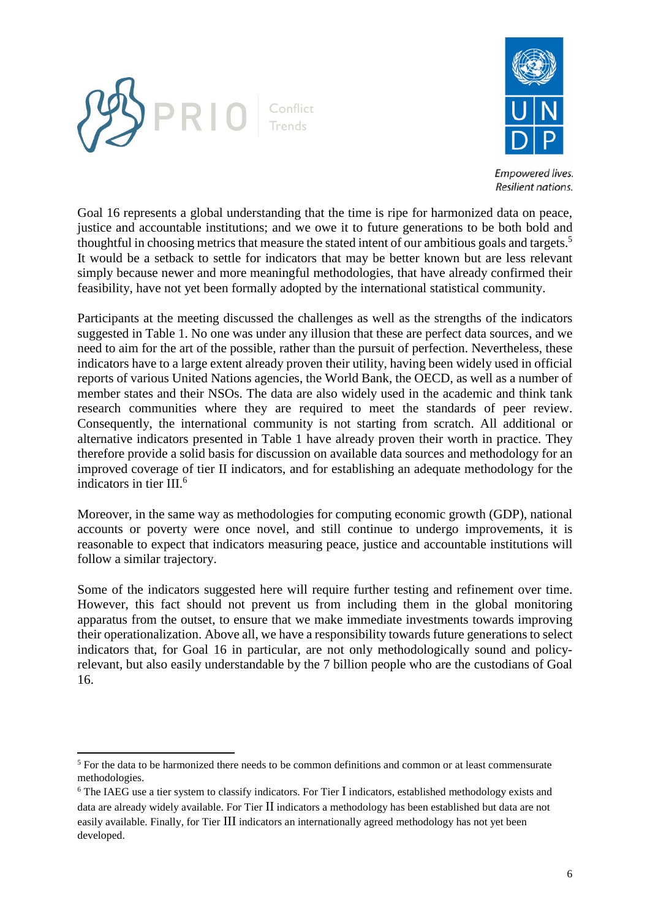



Goal 16 represents a global understanding that the time is ripe for harmonized data on peace, justice and accountable institutions; and we owe it to future generations to be both bold and thoughtful in choosing metrics that measure the stated intent of our ambitious goals and targets.<sup>5</sup> It would be a setback to settle for indicators that may be better known but are less relevant simply because newer and more meaningful methodologies, that have already confirmed their feasibility, have not yet been formally adopted by the international statistical community.

Participants at the meeting discussed the challenges as well as the strengths of the indicators suggested in Table 1. No one was under any illusion that these are perfect data sources, and we need to aim for the art of the possible, rather than the pursuit of perfection. Nevertheless, these indicators have to a large extent already proven their utility, having been widely used in official reports of various United Nations agencies, the World Bank, the OECD, as well as a number of member states and their NSOs. The data are also widely used in the academic and think tank research communities where they are required to meet the standards of peer review. Consequently, the international community is not starting from scratch. All additional or alternative indicators presented in Table 1 have already proven their worth in practice. They therefore provide a solid basis for discussion on available data sources and methodology for an improved coverage of tier II indicators, and for establishing an adequate methodology for the indicators in tier III. 6

Moreover, in the same way as methodologies for computing economic growth (GDP), national accounts or poverty were once novel, and still continue to undergo improvements, it is reasonable to expect that indicators measuring peace, justice and accountable institutions will follow a similar trajectory.

Some of the indicators suggested here will require further testing and refinement over time. However, this fact should not prevent us from including them in the global monitoring apparatus from the outset, to ensure that we make immediate investments towards improving their operationalization. Above all, we have a responsibility towards future generations to select indicators that, for Goal 16 in particular, are not only methodologically sound and policyrelevant, but also easily understandable by the 7 billion people who are the custodians of Goal 16.

 $\overline{\phantom{a}}$ 

<sup>&</sup>lt;sup>5</sup> For the data to be harmonized there needs to be common definitions and common or at least commensurate methodologies.

 $6$  The IAEG use a tier system to classify indicators. For Tier I indicators, established methodology exists and data are already widely available. For Tier II indicators a methodology has been established but data are not easily available. Finally, for Tier III indicators an internationally agreed methodology has not yet been developed.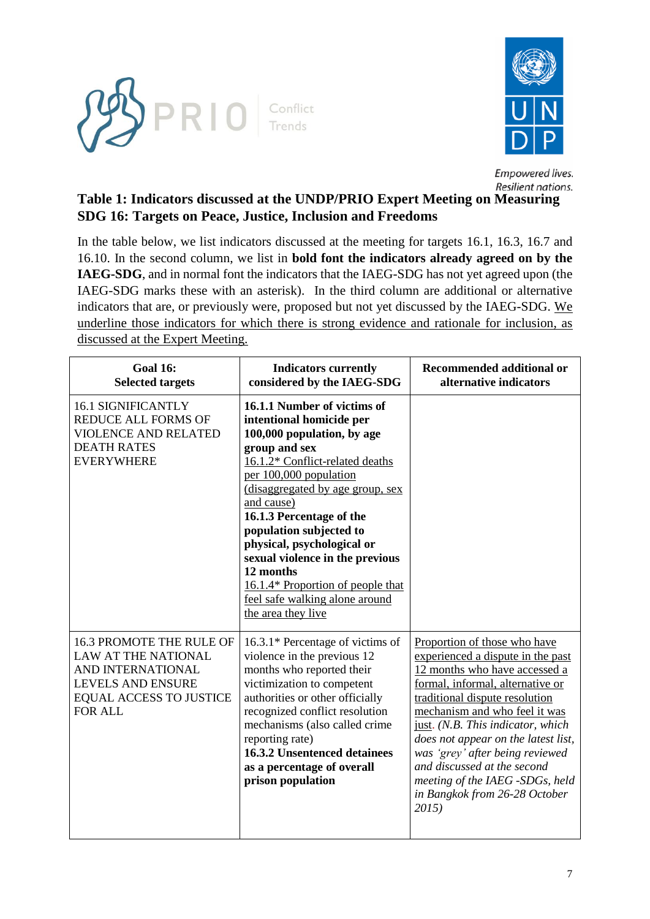



# **Table 1: Indicators discussed at the UNDP/PRIO Expert Meeting on Measuring SDG 16: Targets on Peace, Justice, Inclusion and Freedoms**

In the table below, we list indicators discussed at the meeting for targets 16.1, 16.3, 16.7 and 16.10. In the second column, we list in **bold font the indicators already agreed on by the IAEG-SDG**, and in normal font the indicators that the IAEG-SDG has not yet agreed upon (the IAEG-SDG marks these with an asterisk). In the third column are additional or alternative indicators that are, or previously were, proposed but not yet discussed by the IAEG-SDG. We underline those indicators for which there is strong evidence and rationale for inclusion, as discussed at the Expert Meeting.

| <b>Goal 16:</b><br><b>Selected targets</b>                                                                                                                  | <b>Indicators currently</b><br>considered by the IAEG-SDG                                                                                                                                                                                                                                                                                                                                                                                               | <b>Recommended additional or</b><br>alternative indicators                                                                                                                                                                                                                                                                                                                                                                          |
|-------------------------------------------------------------------------------------------------------------------------------------------------------------|---------------------------------------------------------------------------------------------------------------------------------------------------------------------------------------------------------------------------------------------------------------------------------------------------------------------------------------------------------------------------------------------------------------------------------------------------------|-------------------------------------------------------------------------------------------------------------------------------------------------------------------------------------------------------------------------------------------------------------------------------------------------------------------------------------------------------------------------------------------------------------------------------------|
| <b>16.1 SIGNIFICANTLY</b><br><b>REDUCE ALL FORMS OF</b><br><b>VIOLENCE AND RELATED</b><br><b>DEATH RATES</b><br><b>EVERYWHERE</b>                           | 16.1.1 Number of victims of<br>intentional homicide per<br>100,000 population, by age<br>group and sex<br>16.1.2* Conflict-related deaths<br>per 100,000 population<br>(disaggregated by age group, sex<br>and cause)<br>16.1.3 Percentage of the<br>population subjected to<br>physical, psychological or<br>sexual violence in the previous<br>12 months<br>16.1.4* Proportion of people that<br>feel safe walking alone around<br>the area they live |                                                                                                                                                                                                                                                                                                                                                                                                                                     |
| 16.3 PROMOTE THE RULE OF<br><b>LAW AT THE NATIONAL</b><br>AND INTERNATIONAL<br><b>LEVELS AND ENSURE</b><br><b>EQUAL ACCESS TO JUSTICE</b><br><b>FOR ALL</b> | 16.3.1* Percentage of victims of<br>violence in the previous 12<br>months who reported their<br>victimization to competent<br>authorities or other officially<br>recognized conflict resolution<br>mechanisms (also called crime<br>reporting rate)<br><b>16.3.2 Unsentenced detainees</b><br>as a percentage of overall<br>prison population                                                                                                           | Proportion of those who have<br>experienced a dispute in the past<br>12 months who have accessed a<br>formal, informal, alternative or<br>traditional dispute resolution<br>mechanism and who feel it was<br>just. (N.B. This indicator, which<br>does not appear on the latest list,<br>was 'grey' after being reviewed<br>and discussed at the second<br>meeting of the IAEG -SDGs, held<br>in Bangkok from 26-28 October<br>2015 |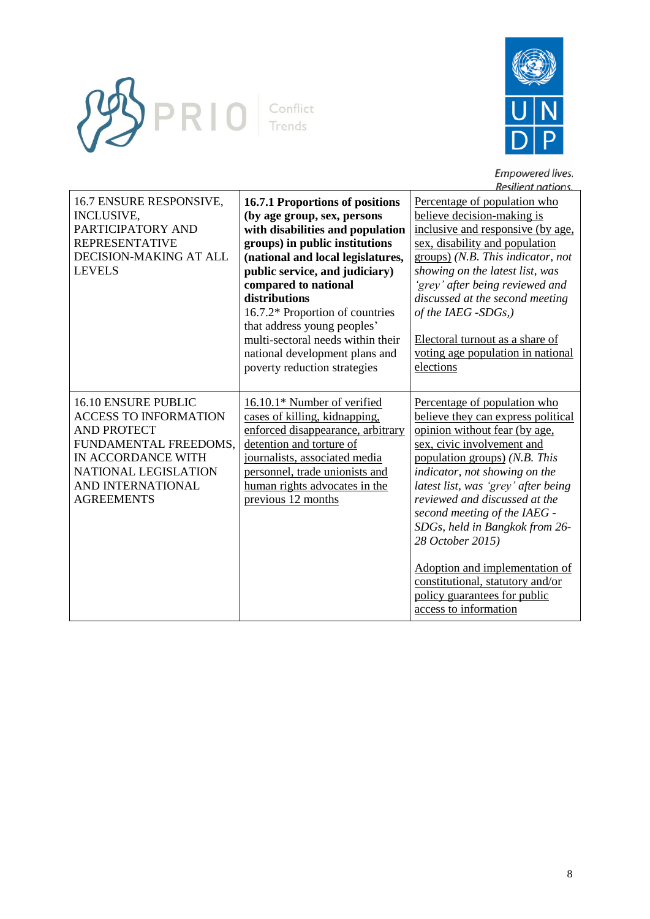



| 16.7 ENSURE RESPONSIVE,<br><b>INCLUSIVE,</b><br>PARTICIPATORY AND<br><b>REPRESENTATIVE</b><br>DECISION-MAKING AT ALL<br><b>LEVELS</b>                                                                    | 16.7.1 Proportions of positions<br>(by age group, sex, persons<br>with disabilities and population<br>groups) in public institutions<br>(national and local legislatures,<br>public service, and judiciary)<br>compared to national<br>distributions<br>16.7.2* Proportion of countries<br>that address young peoples'<br>multi-sectoral needs within their<br>national development plans and<br>poverty reduction strategies | Percentage of population who<br>believe decision-making is<br>inclusive and responsive (by age,<br>sex, disability and population<br>groups) (N.B. This indicator, not<br>showing on the latest list, was<br>'grey' after being reviewed and<br>discussed at the second meeting<br>of the IAEG -SDGs,)<br>Electoral turnout as a share of<br>voting age population in national<br>elections                                                                                                      |
|----------------------------------------------------------------------------------------------------------------------------------------------------------------------------------------------------------|-------------------------------------------------------------------------------------------------------------------------------------------------------------------------------------------------------------------------------------------------------------------------------------------------------------------------------------------------------------------------------------------------------------------------------|--------------------------------------------------------------------------------------------------------------------------------------------------------------------------------------------------------------------------------------------------------------------------------------------------------------------------------------------------------------------------------------------------------------------------------------------------------------------------------------------------|
| <b>16.10 ENSURE PUBLIC</b><br><b>ACCESS TO INFORMATION</b><br><b>AND PROTECT</b><br>FUNDAMENTAL FREEDOMS,<br>IN ACCORDANCE WITH<br><b>NATIONAL LEGISLATION</b><br>AND INTERNATIONAL<br><b>AGREEMENTS</b> | 16.10.1* Number of verified<br>cases of killing, kidnapping,<br>enforced disappearance, arbitrary<br>detention and torture of<br>journalists, associated media<br>personnel, trade unionists and<br>human rights advocates in the<br>previous 12 months                                                                                                                                                                       | Percentage of population who<br>believe they can express political<br>opinion without fear (by age,<br>sex, civic involvement and<br>population groups) (N.B. This<br>indicator, not showing on the<br>latest list, was 'grey' after being<br>reviewed and discussed at the<br>second meeting of the IAEG -<br>SDGs, held in Bangkok from 26-<br>28 October 2015)<br>Adoption and implementation of<br>constitutional, statutory and/or<br>policy guarantees for public<br>access to information |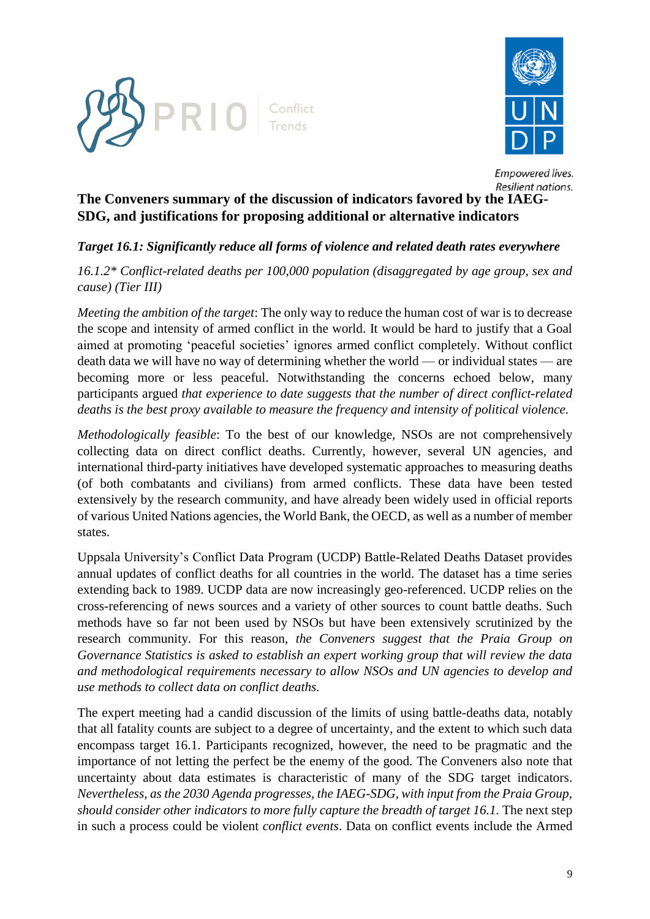



# **The Conveners summary of the discussion of indicators favored by the IAEG-SDG, and justifications for proposing additional or alternative indicators**

## *Target 16.1: Significantly reduce all forms of violence and related death rates everywhere*

*16.1.2\* Conflict-related deaths per 100,000 population (disaggregated by age group, sex and cause) (Tier III)* 

*Meeting the ambition of the target*: The only way to reduce the human cost of war is to decrease the scope and intensity of armed conflict in the world. It would be hard to justify that a Goal aimed at promoting 'peaceful societies' ignores armed conflict completely. Without conflict death data we will have no way of determining whether the world — or individual states — are becoming more or less peaceful. Notwithstanding the concerns echoed below, many participants argued *that experience to date suggests that the number of direct conflict-related deaths is the best proxy available to measure the frequency and intensity of political violence.*

*Methodologically feasible*: To the best of our knowledge, NSOs are not comprehensively collecting data on direct conflict deaths. Currently, however, several UN agencies, and international third-party initiatives have developed systematic approaches to measuring deaths (of both combatants and civilians) from armed conflicts. These data have been tested extensively by the research community, and have already been widely used in official reports of various United Nations agencies, the World Bank, the OECD, as well as a number of member states.

Uppsala University's Conflict Data Program (UCDP) Battle-Related Deaths Dataset provides annual updates of conflict deaths for all countries in the world. The dataset has a time series extending back to 1989. UCDP data are now increasingly geo-referenced. UCDP relies on the cross-referencing of news sources and a variety of other sources to count battle deaths. Such methods have so far not been used by NSOs but have been extensively scrutinized by the research community. For this reason, *the Conveners suggest that the Praia Group on Governance Statistics is asked to establish an expert working group that will review the data and methodological requirements necessary to allow NSOs and UN agencies to develop and use methods to collect data on conflict deaths.* 

The expert meeting had a candid discussion of the limits of using battle-deaths data, notably that all fatality counts are subject to a degree of uncertainty, and the extent to which such data encompass target 16.1. Participants recognized, however, the need to be pragmatic and the importance of not letting the perfect be the enemy of the good. The Conveners also note that uncertainty about data estimates is characteristic of many of the SDG target indicators. *Nevertheless, as the 2030 Agenda progresses, the IAEG-SDG, with input from the Praia Group, should consider other indicators to more fully capture the breadth of target 16.1.* The next step in such a process could be violent *conflict events*. Data on conflict events include the Armed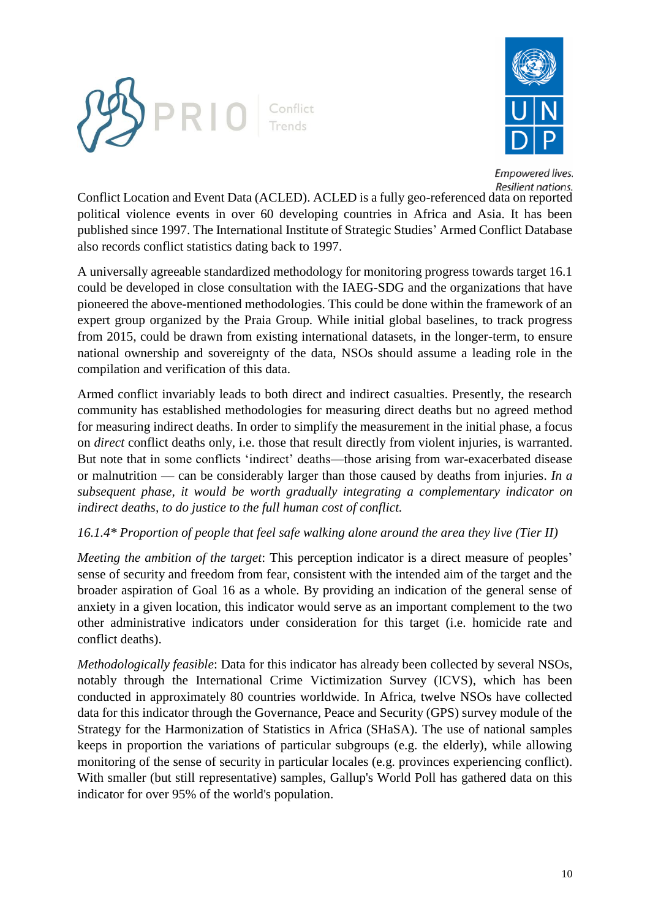



Conflict Location and Event Data (ACLED). ACLED is a fully geo-referenced data on reported political violence events in over 60 developing countries in Africa and Asia. It has been published since 1997. The International Institute of Strategic Studies' Armed Conflict Database also records conflict statistics dating back to 1997.

A universally agreeable standardized methodology for monitoring progress towards target 16.1 could be developed in close consultation with the IAEG-SDG and the organizations that have pioneered the above-mentioned methodologies. This could be done within the framework of an expert group organized by the Praia Group. While initial global baselines, to track progress from 2015, could be drawn from existing international datasets, in the longer-term, to ensure national ownership and sovereignty of the data, NSOs should assume a leading role in the compilation and verification of this data.

Armed conflict invariably leads to both direct and indirect casualties. Presently, the research community has established methodologies for measuring direct deaths but no agreed method for measuring indirect deaths. In order to simplify the measurement in the initial phase, a focus on *direct* conflict deaths only, i.e. those that result directly from violent injuries, is warranted. But note that in some conflicts 'indirect' deaths—those arising from war-exacerbated disease or malnutrition — can be considerably larger than those caused by deaths from injuries. *In a subsequent phase, it would be worth gradually integrating a complementary indicator on indirect deaths, to do justice to the full human cost of conflict.*

### *16.1.4\* Proportion of people that feel safe walking alone around the area they live (Tier II)*

*Meeting the ambition of the target*: This perception indicator is a direct measure of peoples' sense of security and freedom from fear, consistent with the intended aim of the target and the broader aspiration of Goal 16 as a whole. By providing an indication of the general sense of anxiety in a given location, this indicator would serve as an important complement to the two other administrative indicators under consideration for this target (i.e. homicide rate and conflict deaths).

*Methodologically feasible*: Data for this indicator has already been collected by several NSOs, notably through the International Crime Victimization Survey (ICVS), which has been conducted in approximately 80 countries worldwide. In Africa, twelve NSOs have collected data for this indicator through the Governance, Peace and Security (GPS) survey module of the Strategy for the Harmonization of Statistics in Africa (SHaSA). The use of national samples keeps in proportion the variations of particular subgroups (e.g. the elderly), while allowing monitoring of the sense of security in particular locales (e.g. provinces experiencing conflict). With smaller (but still representative) samples, Gallup's World Poll has gathered data on this indicator for over 95% of the world's population.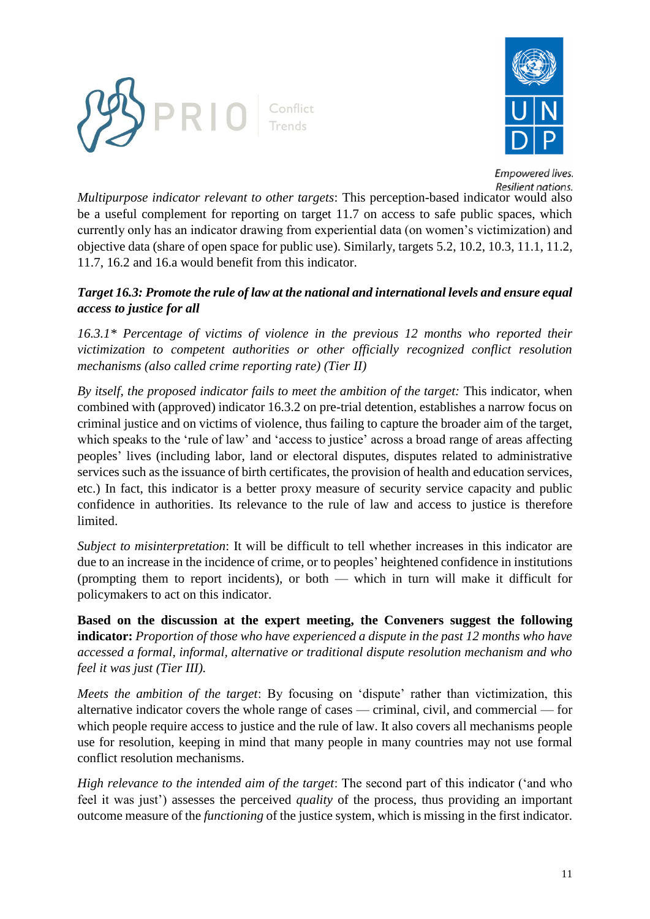



*Multipurpose indicator relevant to other targets*: This perception-based indicator would also be a useful complement for reporting on target 11.7 on access to safe public spaces, which currently only has an indicator drawing from experiential data (on women's victimization) and objective data (share of open space for public use). Similarly, targets 5.2, 10.2, 10.3, 11.1, 11.2, 11.7, 16.2 and 16.a would benefit from this indicator.

## *Target 16.3: Promote the rule of law at the national and international levels and ensure equal access to justice for all*

*16.3.1\* Percentage of victims of violence in the previous 12 months who reported their victimization to competent authorities or other officially recognized conflict resolution mechanisms (also called crime reporting rate) (Tier II)*

*By itself, the proposed indicator fails to meet the ambition of the target:* This indicator, when combined with (approved) indicator 16.3.2 on pre-trial detention, establishes a narrow focus on criminal justice and on victims of violence, thus failing to capture the broader aim of the target, which speaks to the 'rule of law' and 'access to justice' across a broad range of areas affecting peoples' lives (including labor, land or electoral disputes, disputes related to administrative services such as the issuance of birth certificates, the provision of health and education services, etc.) In fact, this indicator is a better proxy measure of security service capacity and public confidence in authorities. Its relevance to the rule of law and access to justice is therefore limited.

*Subject to misinterpretation*: It will be difficult to tell whether increases in this indicator are due to an increase in the incidence of crime, or to peoples' heightened confidence in institutions (prompting them to report incidents), or both — which in turn will make it difficult for policymakers to act on this indicator.

**Based on the discussion at the expert meeting, the Conveners suggest the following indicator:** *Proportion of those who have experienced a dispute in the past 12 months who have accessed a formal, informal, alternative or traditional dispute resolution mechanism and who feel it was just (Tier III).*

*Meets the ambition of the target*: By focusing on 'dispute' rather than victimization, this alternative indicator covers the whole range of cases — criminal, civil, and commercial — for which people require access to justice and the rule of law. It also covers all mechanisms people use for resolution, keeping in mind that many people in many countries may not use formal conflict resolution mechanisms.

*High relevance to the intended aim of the target*: The second part of this indicator ('and who feel it was just') assesses the perceived *quality* of the process, thus providing an important outcome measure of the *functioning* of the justice system, which is missing in the first indicator.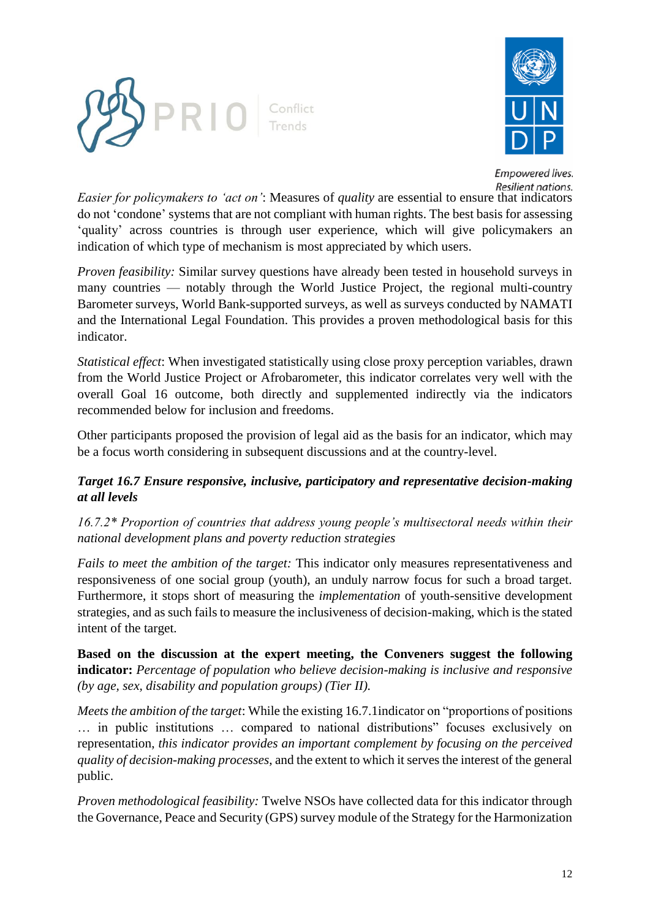



*Easier for policymakers to 'act on'*: Measures of *quality* are essential to ensure that indicators do not 'condone' systems that are not compliant with human rights. The best basis for assessing 'quality' across countries is through user experience, which will give policymakers an indication of which type of mechanism is most appreciated by which users.

*Proven feasibility:* Similar survey questions have already been tested in household surveys in many countries — notably through the World Justice Project, the regional multi-country Barometer surveys, World Bank-supported surveys, as well as surveys conducted by NAMATI and the International Legal Foundation. This provides a proven methodological basis for this indicator.

*Statistical effect*: When investigated statistically using close proxy perception variables, drawn from the World Justice Project or Afrobarometer, this indicator correlates very well with the overall Goal 16 outcome, both directly and supplemented indirectly via the indicators recommended below for inclusion and freedoms.

Other participants proposed the provision of legal aid as the basis for an indicator, which may be a focus worth considering in subsequent discussions and at the country-level.

# *Target 16.7 Ensure responsive, inclusive, participatory and representative decision-making at all levels*

*16.7.2\* Proportion of countries that address young people's multisectoral needs within their national development plans and poverty reduction strategies* 

*Fails to meet the ambition of the target:* This indicator only measures representativeness and responsiveness of one social group (youth), an unduly narrow focus for such a broad target. Furthermore, it stops short of measuring the *implementation* of youth-sensitive development strategies, and as such fails to measure the inclusiveness of decision-making, which is the stated intent of the target.

**Based on the discussion at the expert meeting, the Conveners suggest the following indicator:** *Percentage of population who believe decision-making is inclusive and responsive (by age, sex, disability and population groups) (Tier II).*

*Meets the ambition of the target*: While the existing 16.7.1indicator on "proportions of positions … in public institutions … compared to national distributions" focuses exclusively on representation, *this indicator provides an important complement by focusing on the perceived quality of decision-making processes*, and the extent to which it serves the interest of the general public.

*Proven methodological feasibility:* Twelve NSOs have collected data for this indicator through the Governance, Peace and Security (GPS) survey module of the Strategy for the Harmonization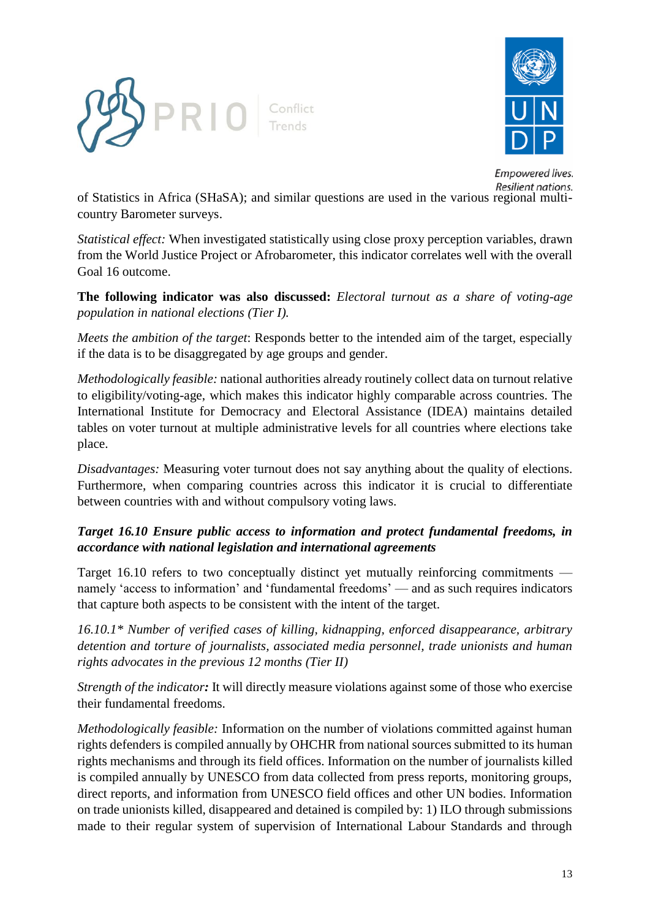



of Statistics in Africa (SHaSA); and similar questions are used in the various regional multicountry Barometer surveys.

*Statistical effect:* When investigated statistically using close proxy perception variables, drawn from the World Justice Project or Afrobarometer, this indicator correlates well with the overall Goal 16 outcome.

**The following indicator was also discussed:** *Electoral turnout as a share of voting-age population in national elections (Tier I).*

*Meets the ambition of the target*: Responds better to the intended aim of the target, especially if the data is to be disaggregated by age groups and gender.

*Methodologically feasible:* national authorities already routinely collect data on turnout relative to eligibility/voting-age, which makes this indicator highly comparable across countries. The International Institute for Democracy and Electoral Assistance (IDEA) maintains detailed tables on voter turnout at multiple administrative levels for all countries where elections take place.

*Disadvantages:* Measuring voter turnout does not say anything about the quality of elections. Furthermore, when comparing countries across this indicator it is crucial to differentiate between countries with and without compulsory voting laws.

*Target 16.10 Ensure public access to information and protect fundamental freedoms, in accordance with national legislation and international agreements*

Target 16.10 refers to two conceptually distinct yet mutually reinforcing commitments namely 'access to information' and 'fundamental freedoms' — and as such requires indicators that capture both aspects to be consistent with the intent of the target.

*16.10.1\* Number of verified cases of killing, kidnapping, enforced disappearance, arbitrary detention and torture of journalists, associated media personnel, trade unionists and human rights advocates in the previous 12 months (Tier II)*

*Strength of the indicator:* It will directly measure violations against some of those who exercise their fundamental freedoms.

*Methodologically feasible:* Information on the number of violations committed against human rights defenders is compiled annually by OHCHR from national sources submitted to its human rights mechanisms and through its field offices. Information on the number of journalists killed is compiled annually by UNESCO from data collected from press reports, monitoring groups, direct reports, and information from UNESCO field offices and other UN bodies. Information on trade unionists killed, disappeared and detained is compiled by: 1) ILO through submissions made to their regular system of supervision of International Labour Standards and through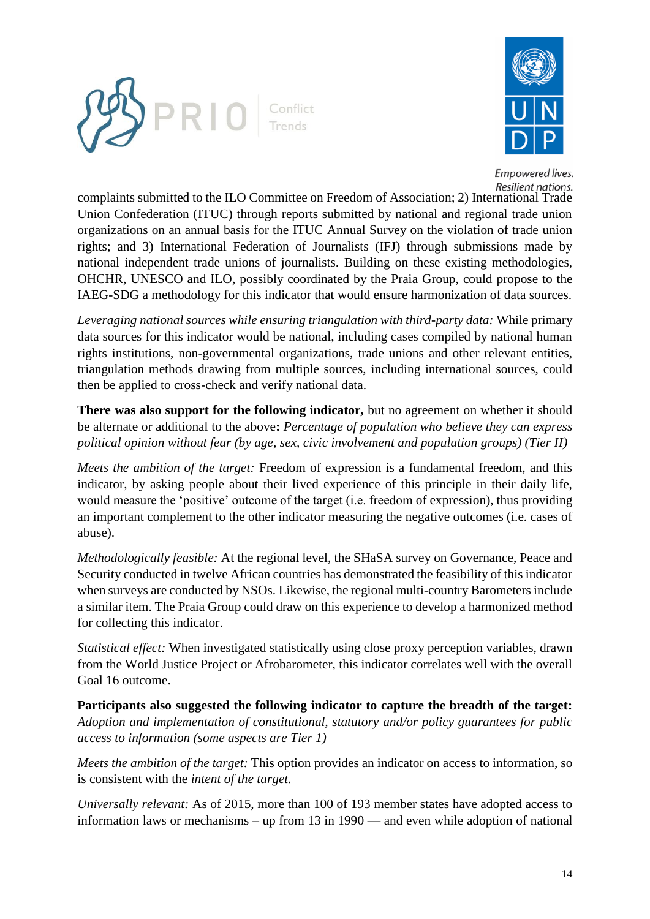



complaints submitted to the ILO Committee on Freedom of Association; 2) International Trade Union Confederation (ITUC) through reports submitted by national and regional trade union organizations on an annual basis for the ITUC Annual Survey on the violation of trade union rights; and 3) International Federation of Journalists (IFJ) through submissions made by national independent trade unions of journalists. Building on these existing methodologies, OHCHR, UNESCO and ILO, possibly coordinated by the Praia Group, could propose to the IAEG-SDG a methodology for this indicator that would ensure harmonization of data sources.

*Leveraging national sources while ensuring triangulation with third-party data:* While primary data sources for this indicator would be national, including cases compiled by national human rights institutions, non-governmental organizations, trade unions and other relevant entities, triangulation methods drawing from multiple sources, including international sources, could then be applied to cross-check and verify national data.

**There was also support for the following indicator,** but no agreement on whether it should be alternate or additional to the above**:** *Percentage of population who believe they can express political opinion without fear (by age, sex, civic involvement and population groups) (Tier II)* 

*Meets the ambition of the target:* Freedom of expression is a fundamental freedom, and this indicator, by asking people about their lived experience of this principle in their daily life, would measure the 'positive' outcome of the target (i.e. freedom of expression), thus providing an important complement to the other indicator measuring the negative outcomes (i.e. cases of abuse).

*Methodologically feasible:* At the regional level, the SHaSA survey on Governance, Peace and Security conducted in twelve African countries has demonstrated the feasibility of this indicator when surveys are conducted by NSOs. Likewise, the regional multi-country Barometers include a similar item. The Praia Group could draw on this experience to develop a harmonized method for collecting this indicator.

*Statistical effect:* When investigated statistically using close proxy perception variables, drawn from the World Justice Project or Afrobarometer, this indicator correlates well with the overall Goal 16 outcome.

**Participants also suggested the following indicator to capture the breadth of the target:**  *Adoption and implementation of constitutional, statutory and/or policy guarantees for public access to information (some aspects are Tier 1)* 

*Meets the ambition of the target:* This option provides an indicator on access to information, so is consistent with the *intent of the target.*

*Universally relevant:* As of 2015, more than 100 of 193 member states have adopted access to information laws or mechanisms – up from 13 in 1990 — and even while adoption of national